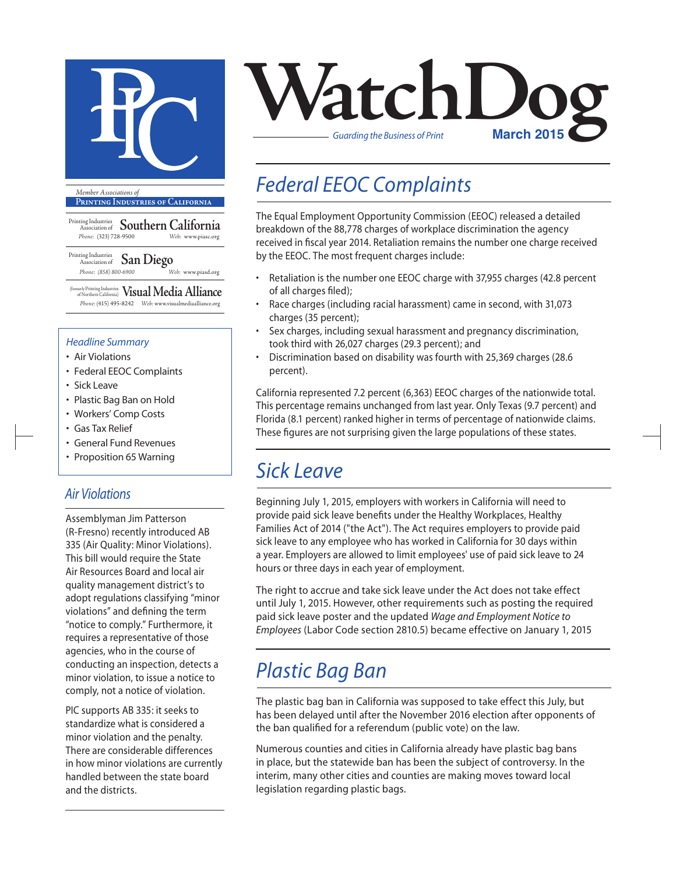

**Printing Industries of California**

Printing Industries Association of **Southern California** *Phone:* (323) 728-9500 *Web:* www.piasc.org

Printing Industries Association of **San Diego** *Phone: (858) 800-6900 Web:* www.piasd.org

(formerly Printing Industries of Northern California) **Visual Media Alliance** *Phone:* (415) 495-8242 *Web:* www.visualmediaalliance.org

#### *Headline Summary*

- Air Violations
- Federal EEOC Complaints
- Sick Leave
- Plastic Bag Ban on Hold
- Workers' Comp Costs
- Gas Tax Relief
- General Fund Revenues
- Proposition 65 Warning

### *Air Violations*

Assemblyman Jim Patterson (R-Fresno) recently introduced AB 335 (Air Quality: Minor Violations). This bill would require the State Air Resources Board and local air quality management district's to adopt regulations classifying "minor violations" and defining the term "notice to comply." Furthermore, it requires a representative of those agencies, who in the course of conducting an inspection, detects a minor violation, to issue a notice to comply, not a notice of violation.

PIC supports AB 335: it seeks to standardize what is considered a minor violation and the penalty. There are considerable differences in how minor violations are currently handled between the state board and the districts.



## *Federal EEOC Complaints*

The Equal Employment Opportunity Commission (EEOC) released a detailed breakdown of the 88,778 charges of workplace discrimination the agency received in fiscal year 2014. Retaliation remains the number one charge received by the EEOC. The most frequent charges include:

- Retaliation is the number one EEOC charge with 37,955 charges (42.8 percent of all charges filed);
- Race charges (including racial harassment) came in second, with 31,073 charges (35 percent);
- Sex charges, including sexual harassment and pregnancy discrimination, took third with 26,027 charges (29.3 percent); and
- Discrimination based on disability was fourth with 25,369 charges (28.6 percent).

California represented 7.2 percent (6,363) EEOC charges of the nationwide total. This percentage remains unchanged from last year. Only Texas (9.7 percent) and Florida (8.1 percent) ranked higher in terms of percentage of nationwide claims. These figures are not surprising given the large populations of these states.

## *Sick Leave*

Beginning July 1, 2015, employers with workers in California will need to provide paid sick leave benefits under the Healthy Workplaces, Healthy Families Act of 2014 ("the Act"). The Act requires employers to provide paid sick leave to any employee who has worked in California for 30 days within a year. Employers are allowed to limit employees' use of paid sick leave to 24 hours or three days in each year of employment.

The right to accrue and take sick leave under the Act does not take effect until July 1, 2015. However, other requirements such as posting the required paid sick leave poster and the updated *Wage and Employment Notice to Employees* (Labor Code section 2810.5) became effective on January 1, 2015

## *Plastic Bag Ban*

The plastic bag ban in California was supposed to take effect this July, but has been delayed until after the November 2016 election after opponents of the ban qualified for a referendum (public vote) on the law.

Numerous counties and cities in California already have plastic bag bans in place, but the statewide ban has been the subject of controversy. In the interim, many other cities and counties are making moves toward local legislation regarding plastic bags.